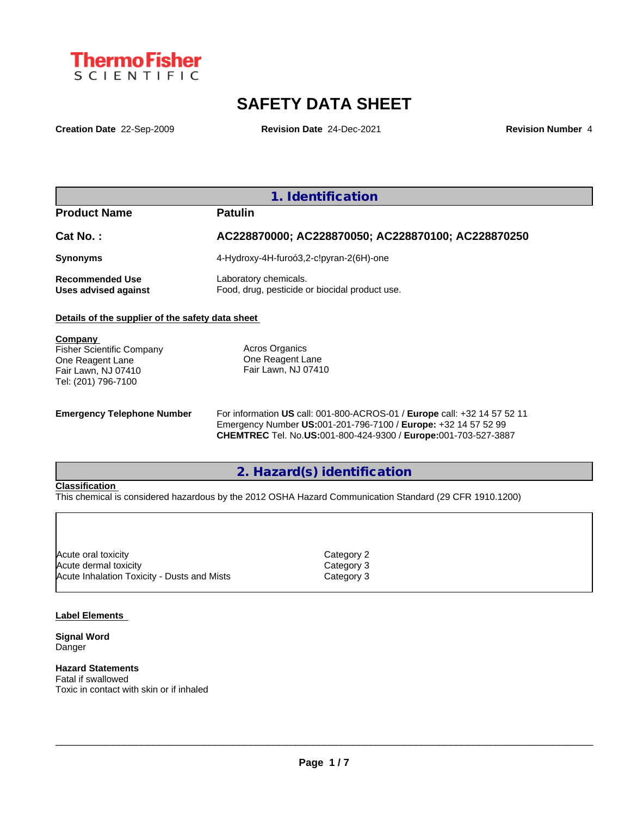

# **SAFETY DATA SHEET**

**Creation Date** 22-Sep-2009 **Revision Date** 24-Dec-2021 **Revision Number** 4

|                                                                                                               | 1. Identification                                                                                                                                                                                            |
|---------------------------------------------------------------------------------------------------------------|--------------------------------------------------------------------------------------------------------------------------------------------------------------------------------------------------------------|
| <b>Product Name</b>                                                                                           | <b>Patulin</b>                                                                                                                                                                                               |
| Cat No.:                                                                                                      | AC228870000; AC228870050; AC228870100; AC228870250                                                                                                                                                           |
| <b>Synonyms</b>                                                                                               | 4-Hydroxy-4H-furoó3,2-c!pyran-2(6H)-one                                                                                                                                                                      |
| <b>Recommended Use</b><br>Uses advised against                                                                | Laboratory chemicals.<br>Food, drug, pesticide or biocidal product use.                                                                                                                                      |
| Details of the supplier of the safety data sheet                                                              |                                                                                                                                                                                                              |
| Company<br><b>Fisher Scientific Company</b><br>One Reagent Lane<br>Fair Lawn, NJ 07410<br>Tel: (201) 796-7100 | Acros Organics<br>One Reagent Lane<br>Fair Lawn, NJ 07410                                                                                                                                                    |
| <b>Emergency Telephone Number</b>                                                                             | For information US call: 001-800-ACROS-01 / Europe call: +32 14 57 52 11<br>Emergency Number US:001-201-796-7100 / Europe: +32 14 57 52 99<br>CHEMTREC Tel. No.US:001-800-424-9300 / Europe:001-703-527-3887 |

### **2. Hazard(s) identification**

### **Classification**

This chemical is considered hazardous by the 2012 OSHA Hazard Communication Standard (29 CFR 1910.1200)

| Acute oral toxicity                         | Category 2 |
|---------------------------------------------|------------|
| Acute dermal toxicity                       | Category 3 |
| Acute Inhalation Toxicity - Dusts and Mists | Category 3 |
|                                             |            |

### **Label Elements**

**Signal Word** Danger

#### **Hazard Statements** Fatal if swallowed

Toxic in contact with skin or if inhaled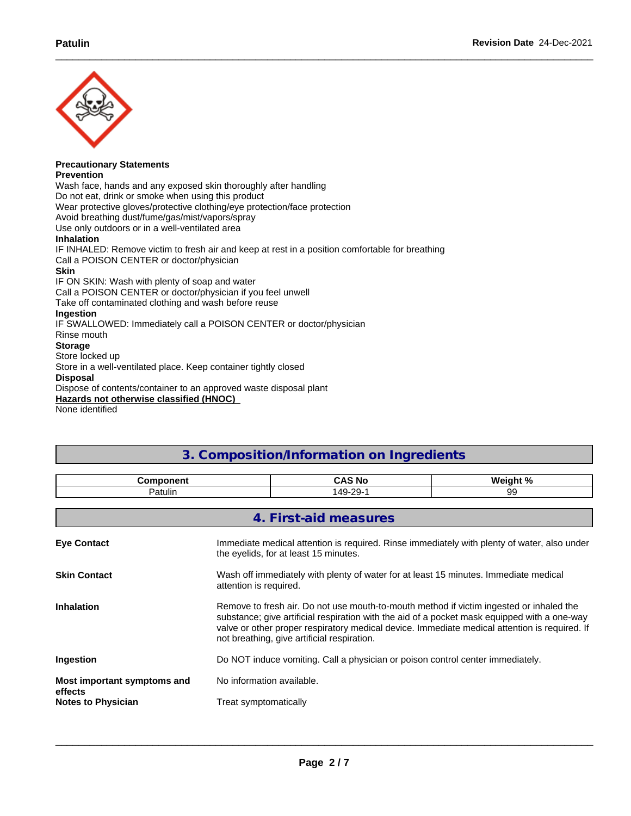

#### **Precautionary Statements Prevention**

Wash face, hands and any exposed skin thoroughly after handling Do not eat, drink or smoke when using this product Wear protective gloves/protective clothing/eye protection/face protection Avoid breathing dust/fume/gas/mist/vapors/spray Use only outdoors or in a well-ventilated area **Inhalation** IF INHALED: Remove victim to fresh air and keep at rest in a position comfortable for breathing Call a POISON CENTER or doctor/physician **Skin** IF ON SKIN: Wash with plenty of soap and water Call a POISON CENTER or doctor/physician if you feel unwell Take off contaminated clothing and wash before reuse **Ingestion** IF SWALLOWED: Immediately call a POISON CENTER or doctor/physician Rinse mouth **Storage** Store locked up Store in a well-ventilated place. Keep container tightly closed **Disposal** Dispose of contents/container to an approved waste disposal plant

**Hazards not otherwise classified (HNOC)**

None identified

# **3. Composition/Information on Ingredients**

| 149-29-1<br>Patulin<br>99                                                                                                                                                                                                                                                                                                                                    |  |  |  |  |  |  |
|--------------------------------------------------------------------------------------------------------------------------------------------------------------------------------------------------------------------------------------------------------------------------------------------------------------------------------------------------------------|--|--|--|--|--|--|
|                                                                                                                                                                                                                                                                                                                                                              |  |  |  |  |  |  |
|                                                                                                                                                                                                                                                                                                                                                              |  |  |  |  |  |  |
| 4. First-aid measures                                                                                                                                                                                                                                                                                                                                        |  |  |  |  |  |  |
| Immediate medical attention is required. Rinse immediately with plenty of water, also under<br><b>Eye Contact</b><br>the evelids, for at least 15 minutes.                                                                                                                                                                                                   |  |  |  |  |  |  |
| <b>Skin Contact</b><br>Wash off immediately with plenty of water for at least 15 minutes. Immediate medical<br>attention is required.                                                                                                                                                                                                                        |  |  |  |  |  |  |
| Remove to fresh air. Do not use mouth-to-mouth method if victim ingested or inhaled the<br><b>Inhalation</b><br>substance; give artificial respiration with the aid of a pocket mask equipped with a one-way<br>valve or other proper respiratory medical device. Immediate medical attention is required. If<br>not breathing, give artificial respiration. |  |  |  |  |  |  |
| Ingestion<br>Do NOT induce vomiting. Call a physician or poison control center immediately.                                                                                                                                                                                                                                                                  |  |  |  |  |  |  |
| No information available.<br>Most important symptoms and<br>effects                                                                                                                                                                                                                                                                                          |  |  |  |  |  |  |
| Treat symptomatically<br><b>Notes to Physician</b>                                                                                                                                                                                                                                                                                                           |  |  |  |  |  |  |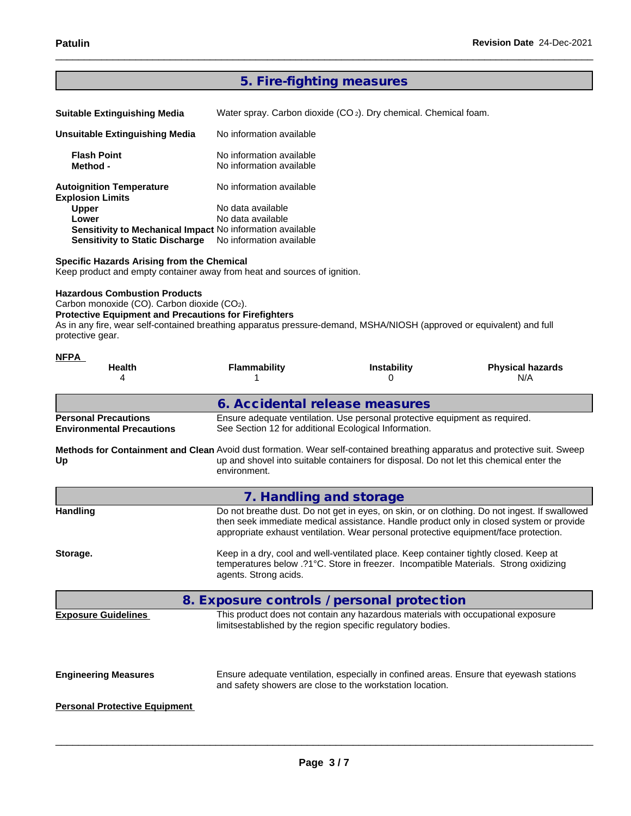## **5. Fire-fighting measures**

| <b>Suitable Extinguishing Media</b>                        | Water spray. Carbon dioxide $(CO_2)$ . Dry chemical. Chemical foam. |
|------------------------------------------------------------|---------------------------------------------------------------------|
| Unsuitable Extinguishing Media                             | No information available                                            |
| <b>Flash Point</b><br>Method -                             | No information available<br>No information available                |
| <b>Autoignition Temperature</b><br><b>Explosion Limits</b> | No information available                                            |
| <b>Upper</b>                                               | No data available                                                   |
| Lower                                                      | No data available                                                   |
| Sensitivity to Mechanical Impact No information available  |                                                                     |
| <b>Sensitivity to Static Discharge</b>                     | No information available                                            |

### **Specific Hazards Arising from the Chemical**

Keep product and empty container away from heat and sources of ignition.

#### **Hazardous Combustion Products**

Carbon monoxide (CO). Carbon dioxide (CO2).

### **Protective Equipment and Precautions for Firefighters**

As in any fire, wear self-contained breathing apparatus pressure-demand, MSHA/NIOSH (approved or equivalent) and full protective gear.

| <b>NFPA</b><br><b>Health</b><br>4                                                                                                | <b>Flammability</b>                                                                                                                                                                                                                                                              | <b>Instability</b><br>0                                                                                                                              | <b>Physical hazards</b><br>N/A |  |  |  |  |  |  |
|----------------------------------------------------------------------------------------------------------------------------------|----------------------------------------------------------------------------------------------------------------------------------------------------------------------------------------------------------------------------------------------------------------------------------|------------------------------------------------------------------------------------------------------------------------------------------------------|--------------------------------|--|--|--|--|--|--|
|                                                                                                                                  |                                                                                                                                                                                                                                                                                  | 6. Accidental release measures                                                                                                                       |                                |  |  |  |  |  |  |
| <b>Personal Precautions</b><br><b>Environmental Precautions</b>                                                                  |                                                                                                                                                                                                                                                                                  | Ensure adequate ventilation. Use personal protective equipment as required.<br>See Section 12 for additional Ecological Information.                 |                                |  |  |  |  |  |  |
| Methods for Containment and Clean Avoid dust formation. Wear self-contained breathing apparatus and protective suit. Sweep<br>Up | environment.                                                                                                                                                                                                                                                                     | up and shovel into suitable containers for disposal. Do not let this chemical enter the                                                              |                                |  |  |  |  |  |  |
|                                                                                                                                  |                                                                                                                                                                                                                                                                                  | 7. Handling and storage                                                                                                                              |                                |  |  |  |  |  |  |
| <b>Handling</b>                                                                                                                  | Do not breathe dust. Do not get in eyes, on skin, or on clothing. Do not ingest. If swallowed<br>then seek immediate medical assistance. Handle product only in closed system or provide<br>appropriate exhaust ventilation. Wear personal protective equipment/face protection. |                                                                                                                                                      |                                |  |  |  |  |  |  |
| Storage.                                                                                                                         | Keep in a dry, cool and well-ventilated place. Keep container tightly closed. Keep at<br>temperatures below .?1°C. Store in freezer. Incompatible Materials. Strong oxidizing<br>agents. Strong acids.                                                                           |                                                                                                                                                      |                                |  |  |  |  |  |  |
|                                                                                                                                  |                                                                                                                                                                                                                                                                                  | 8. Exposure controls / personal protection                                                                                                           |                                |  |  |  |  |  |  |
| <b>Exposure Guidelines</b>                                                                                                       |                                                                                                                                                                                                                                                                                  | This product does not contain any hazardous materials with occupational exposure<br>limitsestablished by the region specific regulatory bodies.      |                                |  |  |  |  |  |  |
| <b>Engineering Measures</b>                                                                                                      |                                                                                                                                                                                                                                                                                  | Ensure adequate ventilation, especially in confined areas. Ensure that eyewash stations<br>and safety showers are close to the workstation location. |                                |  |  |  |  |  |  |
| <b>Personal Protective Equipment</b>                                                                                             |                                                                                                                                                                                                                                                                                  |                                                                                                                                                      |                                |  |  |  |  |  |  |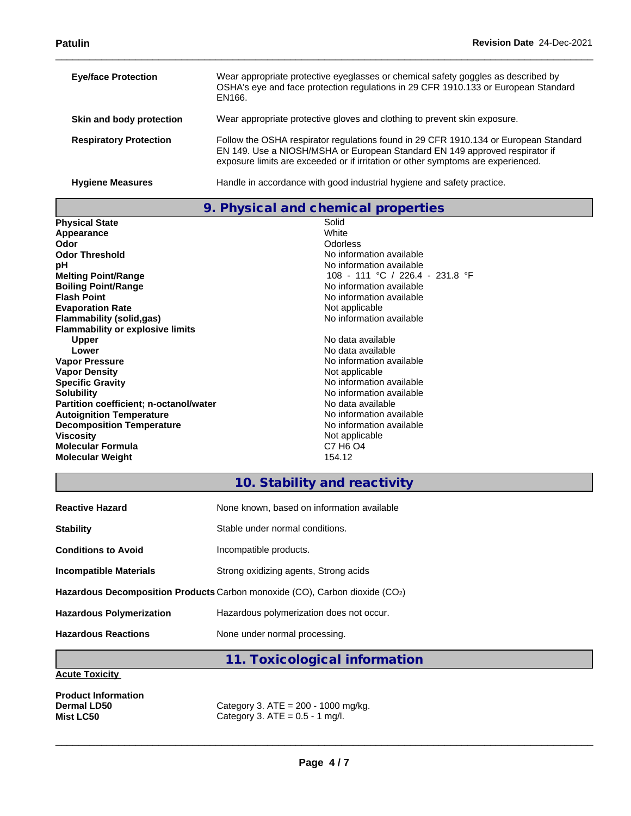| <b>Eye/face Protection</b>    | Wear appropriate protective eyeglasses or chemical safety goggles as described by<br>OSHA's eye and face protection regulations in 29 CFR 1910.133 or European Standard<br>EN166.                                                                       |
|-------------------------------|---------------------------------------------------------------------------------------------------------------------------------------------------------------------------------------------------------------------------------------------------------|
| Skin and body protection      | Wear appropriate protective gloves and clothing to prevent skin exposure.                                                                                                                                                                               |
| <b>Respiratory Protection</b> | Follow the OSHA respirator regulations found in 29 CFR 1910.134 or European Standard<br>EN 149. Use a NIOSH/MSHA or European Standard EN 149 approved respirator if<br>exposure limits are exceeded or if irritation or other symptoms are experienced. |
| <b>Hygiene Measures</b>       | Handle in accordance with good industrial hygiene and safety practice.                                                                                                                                                                                  |

**9. Physical and chemical properties**

| <b>Physical State</b>                   | Solid                            |
|-----------------------------------------|----------------------------------|
| Appearance                              | White                            |
| Odor                                    | Odorless                         |
| <b>Odor Threshold</b>                   | No information available         |
| рH                                      | No information available         |
| <b>Melting Point/Range</b>              | 108 - 111 °C / 226.4 - 231.8     |
| <b>Boiling Point/Range</b>              | No information available         |
| <b>Flash Point</b>                      | No information available         |
| <b>Evaporation Rate</b>                 | Not applicable                   |
| Flammability (solid,gas)                | No information available         |
| <b>Flammability or explosive limits</b> |                                  |
| <b>Upper</b>                            | No data available                |
| Lower                                   | No data available                |
| <b>Vapor Pressure</b>                   | No information available         |
| <b>Vapor Density</b>                    | Not applicable                   |
| <b>Specific Gravity</b>                 | No information available         |
| <b>Solubility</b>                       | No information available         |
| Partition coefficient; n-octanol/water  | No data available                |
| <b>Autoignition Temperature</b>         | No information available         |
| <b>Decomposition Temperature</b>        | No information available         |
| <b>Viscosity</b>                        | Not applicable                   |
| <b>Molecular Formula</b>                | C7 H <sub>6</sub> O <sub>4</sub> |
| <b>Molecular Weight</b>                 | 154.12                           |
|                                         |                                  |

### **No information available No information available Melting Point/Range** 108 - 111 °C / 226.4 - 231.8 °F **No information available No information available Not applicable Flammability (solid,gas)** No information available **Upper** No data available No data available **No information available Not applicable Specific Gravity** No information available **No information available Partition coefficient; n-octanol/water** No data available **No information available No information available Not applicable**

### **10. Stability and reactivity**

| <b>Hazardous Reactions</b>      | None under normal processing.                                               |
|---------------------------------|-----------------------------------------------------------------------------|
| <b>Hazardous Polymerization</b> | Hazardous polymerization does not occur.                                    |
|                                 | Hazardous Decomposition Products Carbon monoxide (CO), Carbon dioxide (CO2) |
| <b>Incompatible Materials</b>   | Strong oxidizing agents, Strong acids                                       |
| <b>Conditions to Avoid</b>      | Incompatible products.                                                      |
| <b>Stability</b>                | Stable under normal conditions.                                             |
| <b>Reactive Hazard</b>          | None known, based on information available                                  |
|                                 |                                                                             |

# **11. Toxicological information**

### **Acute Toxicity**

**Product Information**

**Dermal LD50** Category 3. ATE = 200 - 1000 mg/kg.<br>**Mist LC50** Category 3. ATE = 0.5 - 1 mg/l. Category 3.  $ATE = 0.5 - 1$  mg/l.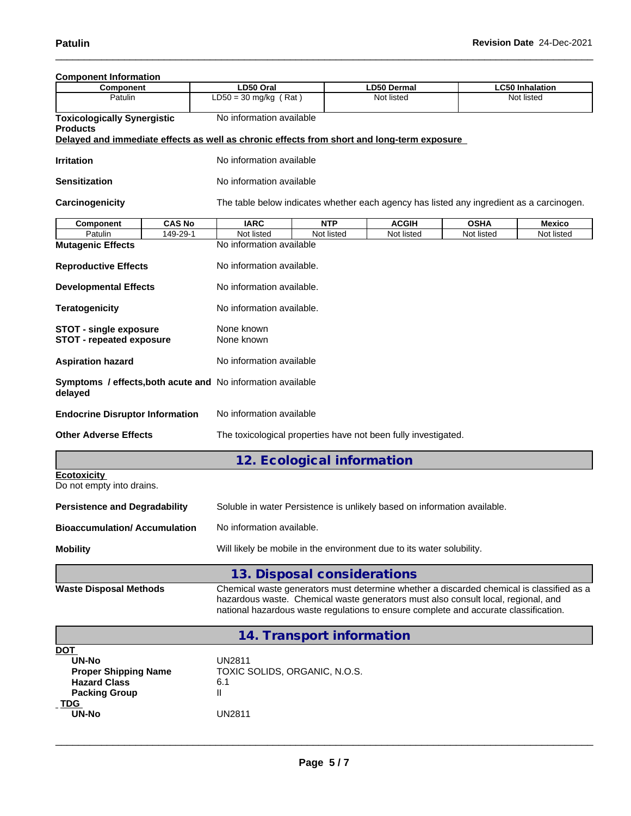| <b>Component Information</b>                                                                                    |               |                                                                                                                                                                                                                                                                       |                                                                                          |              |             |                                      |  |  |  |  |  |  |  |
|-----------------------------------------------------------------------------------------------------------------|---------------|-----------------------------------------------------------------------------------------------------------------------------------------------------------------------------------------------------------------------------------------------------------------------|------------------------------------------------------------------------------------------|--------------|-------------|--------------------------------------|--|--|--|--|--|--|--|
| Component                                                                                                       |               | LD50 Oral                                                                                                                                                                                                                                                             |                                                                                          | LD50 Dermal  |             | <b>LC50 Inhalation</b><br>Not listed |  |  |  |  |  |  |  |
| Patulin                                                                                                         |               | $LD50 = 30$ mg/kg (Rat)                                                                                                                                                                                                                                               |                                                                                          | Not listed   |             |                                      |  |  |  |  |  |  |  |
| <b>Toxicologically Synergistic</b><br><b>Products</b>                                                           |               | No information available<br>Delayed and immediate effects as well as chronic effects from short and long-term exposure                                                                                                                                                |                                                                                          |              |             |                                      |  |  |  |  |  |  |  |
| <b>Irritation</b>                                                                                               |               | No information available                                                                                                                                                                                                                                              |                                                                                          |              |             |                                      |  |  |  |  |  |  |  |
| <b>Sensitization</b>                                                                                            |               | No information available                                                                                                                                                                                                                                              |                                                                                          |              |             |                                      |  |  |  |  |  |  |  |
| Carcinogenicity                                                                                                 |               |                                                                                                                                                                                                                                                                       | The table below indicates whether each agency has listed any ingredient as a carcinogen. |              |             |                                      |  |  |  |  |  |  |  |
| <b>Component</b>                                                                                                | <b>CAS No</b> | <b>IARC</b>                                                                                                                                                                                                                                                           | <b>NTP</b>                                                                               | <b>ACGIH</b> | <b>OSHA</b> | <b>Mexico</b>                        |  |  |  |  |  |  |  |
| Patulin                                                                                                         | 149-29-1      | Not listed                                                                                                                                                                                                                                                            | Not listed                                                                               | Not listed   | Not listed  | Not listed                           |  |  |  |  |  |  |  |
| <b>Mutagenic Effects</b>                                                                                        |               | No information available                                                                                                                                                                                                                                              |                                                                                          |              |             |                                      |  |  |  |  |  |  |  |
| <b>Reproductive Effects</b>                                                                                     |               | No information available.                                                                                                                                                                                                                                             |                                                                                          |              |             |                                      |  |  |  |  |  |  |  |
| <b>Developmental Effects</b>                                                                                    |               | No information available.                                                                                                                                                                                                                                             |                                                                                          |              |             |                                      |  |  |  |  |  |  |  |
| <b>Teratogenicity</b>                                                                                           |               | No information available.                                                                                                                                                                                                                                             |                                                                                          |              |             |                                      |  |  |  |  |  |  |  |
| <b>STOT - single exposure</b><br><b>STOT - repeated exposure</b>                                                |               | None known<br>None known                                                                                                                                                                                                                                              |                                                                                          |              |             |                                      |  |  |  |  |  |  |  |
| <b>Aspiration hazard</b>                                                                                        |               | No information available                                                                                                                                                                                                                                              |                                                                                          |              |             |                                      |  |  |  |  |  |  |  |
| delayed                                                                                                         |               | Symptoms / effects, both acute and No information available                                                                                                                                                                                                           |                                                                                          |              |             |                                      |  |  |  |  |  |  |  |
| <b>Endocrine Disruptor Information</b>                                                                          |               | No information available                                                                                                                                                                                                                                              |                                                                                          |              |             |                                      |  |  |  |  |  |  |  |
| <b>Other Adverse Effects</b>                                                                                    |               | The toxicological properties have not been fully investigated.                                                                                                                                                                                                        |                                                                                          |              |             |                                      |  |  |  |  |  |  |  |
|                                                                                                                 |               |                                                                                                                                                                                                                                                                       | 12. Ecological information                                                               |              |             |                                      |  |  |  |  |  |  |  |
| <b>Ecotoxicity</b><br>Do not empty into drains.                                                                 |               |                                                                                                                                                                                                                                                                       |                                                                                          |              |             |                                      |  |  |  |  |  |  |  |
| <b>Persistence and Degradability</b>                                                                            |               | Soluble in water Persistence is unlikely based on information available.                                                                                                                                                                                              |                                                                                          |              |             |                                      |  |  |  |  |  |  |  |
| <b>Bioaccumulation/Accumulation</b>                                                                             |               | No information available.                                                                                                                                                                                                                                             |                                                                                          |              |             |                                      |  |  |  |  |  |  |  |
| <b>Mobility</b>                                                                                                 |               | Will likely be mobile in the environment due to its water solubility.                                                                                                                                                                                                 |                                                                                          |              |             |                                      |  |  |  |  |  |  |  |
|                                                                                                                 |               |                                                                                                                                                                                                                                                                       | 13. Disposal considerations                                                              |              |             |                                      |  |  |  |  |  |  |  |
| <b>Waste Disposal Methods</b>                                                                                   |               | Chemical waste generators must determine whether a discarded chemical is classified as a<br>hazardous waste. Chemical waste generators must also consult local, regional, and<br>national hazardous waste regulations to ensure complete and accurate classification. |                                                                                          |              |             |                                      |  |  |  |  |  |  |  |
|                                                                                                                 |               |                                                                                                                                                                                                                                                                       | 14. Transport information                                                                |              |             |                                      |  |  |  |  |  |  |  |
| <b>DOT</b><br><b>UN-No</b><br><b>Proper Shipping Name</b><br><b>Hazard Class</b><br><b>Packing Group</b><br>TDG |               | <b>UN2811</b><br>TOXIC SOLIDS, ORGANIC, N.O.S.<br>6.1<br>Ш                                                                                                                                                                                                            |                                                                                          |              |             |                                      |  |  |  |  |  |  |  |
| <b>UN-No</b>                                                                                                    |               | <b>UN2811</b>                                                                                                                                                                                                                                                         |                                                                                          |              |             |                                      |  |  |  |  |  |  |  |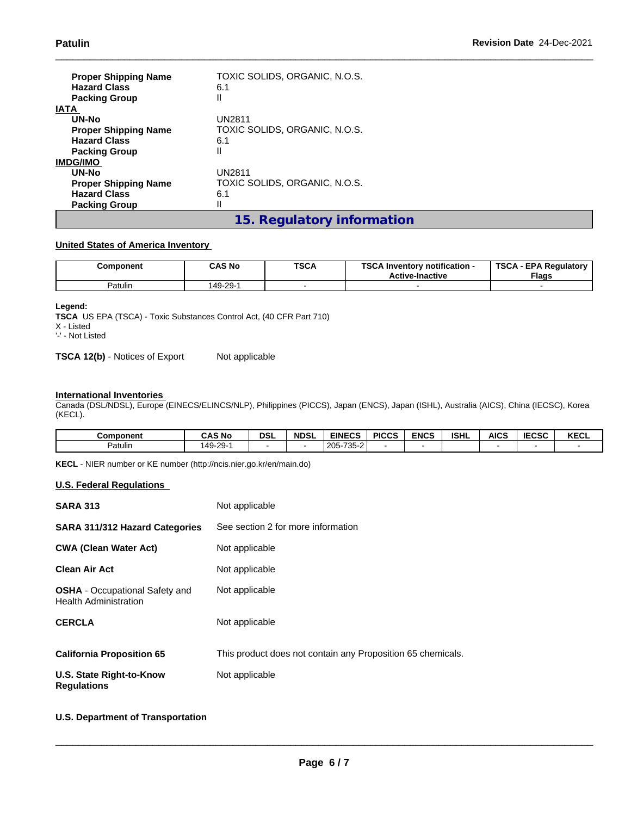| <b>Proper Shipping Name</b><br><b>Hazard Class</b><br><b>Packing Group</b><br><b>IATA</b> | TOXIC SOLIDS, ORGANIC, N.O.S.<br>6.1<br>Ш |
|-------------------------------------------------------------------------------------------|-------------------------------------------|
| UN-No                                                                                     | UN2811                                    |
| <b>Proper Shipping Name</b>                                                               | TOXIC SOLIDS, ORGANIC, N.O.S.             |
| <b>Hazard Class</b>                                                                       | 6.1                                       |
| <b>Packing Group</b>                                                                      | Ш                                         |
| <b>IMDG/IMO</b>                                                                           |                                           |
| <b>UN-No</b>                                                                              | UN2811                                    |
| <b>Proper Shipping Name</b>                                                               | TOXIC SOLIDS, ORGANIC, N.O.S.             |
| <b>Hazard Class</b>                                                                       | 6.1                                       |
| <b>Packing Group</b>                                                                      | Ш                                         |
|                                                                                           | 15. Regulatory information                |

### **United States of America Inventory**

| Component | <b>CAS No</b> | <b>TSCA</b><br>___ | TOO ALL<br><br>- Inventorv notification ا<br><b>Active-Inactive</b> | <b>TSCA</b><br><b>EPA Regulatory</b><br><b>Flags</b> |
|-----------|---------------|--------------------|---------------------------------------------------------------------|------------------------------------------------------|
| Patulin   | 149-29-       |                    |                                                                     |                                                      |

#### **Legend:**

**TSCA** US EPA (TSCA) - Toxic Substances Control Act, (40 CFR Part 710) X - Listed '-' - Not Listed

**TSCA 12(b)** - Notices of Export Not applicable

### **International Inventories**

Canada (DSL/NDSL), Europe (EINECS/ELINCS/NLP), Philippines (PICCS), Japan (ENCS), Japan (ISHL), Australia (AICS), China (IECSC), Korea (KECL).

| <b>Component</b>    | <b>CAS No</b> | DSI | <b>NDSL</b> | <b>EINECS</b> | <b>PICCS</b> | <b>ENCS</b> | <b>ISHL</b> | <b>AICS</b> | <b>IECCO</b><br>IECSC | <b>KECL</b> |
|---------------------|---------------|-----|-------------|---------------|--------------|-------------|-------------|-------------|-----------------------|-------------|
| <sup>⊍</sup> atulın | 49-29         |     |             | 205-735-2     |              |             |             |             |                       |             |

**KECL** - NIER number or KE number (http://ncis.nier.go.kr/en/main.do)

### **U.S. Federal Regulations**

| <b>SARA 313</b>                                                       | Not applicable                                              |
|-----------------------------------------------------------------------|-------------------------------------------------------------|
| <b>SARA 311/312 Hazard Categories</b>                                 | See section 2 for more information                          |
| <b>CWA (Clean Water Act)</b>                                          | Not applicable                                              |
| Clean Air Act                                                         | Not applicable                                              |
| <b>OSHA</b> - Occupational Safety and<br><b>Health Administration</b> | Not applicable                                              |
| <b>CERCLA</b>                                                         | Not applicable                                              |
| <b>California Proposition 65</b>                                      | This product does not contain any Proposition 65 chemicals. |
| U.S. State Right-to-Know<br><b>Regulations</b>                        | Not applicable                                              |

### **U.S. Department of Transportation**